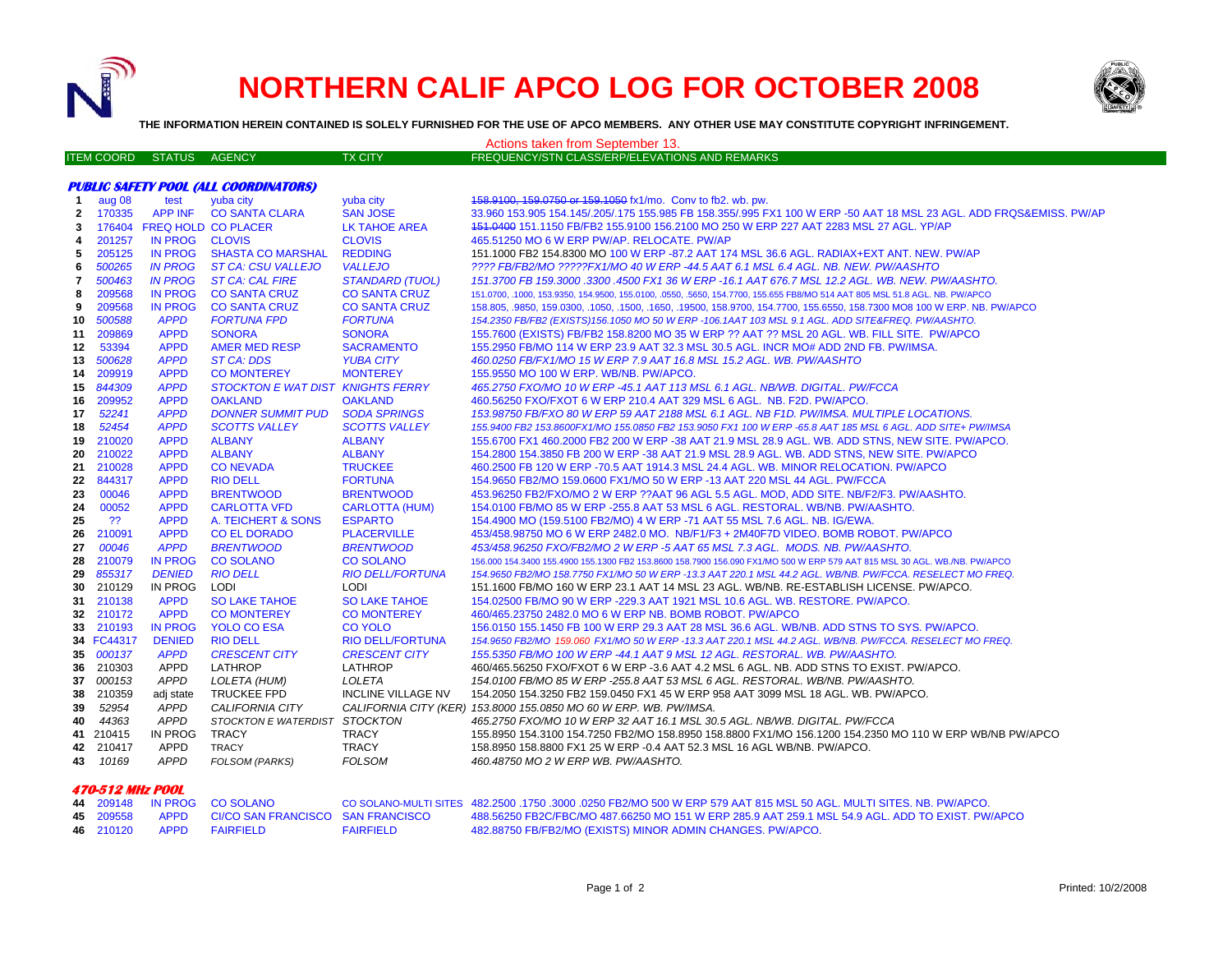

## **NORTHERN CALIF APCO LOG FOR OCTOBER 2008**



**THE INFORMATION HEREIN CONTAINED IS SOLELY FURNISHED FOR THE USE OF APCO MEMBERS. ANY OTHER USE MAY CONSTITUTE COPYRIGHT INFRINGEMENT.**

Actions taken from September 13.

|                                              | <b>ITEM COORD</b> | STATUS AGENCY              |                                           | <b>TX CITY</b>                          | FREQUENCY/STN CLASS/ERP/ELEVATIONS AND REMARKS                                                                                                                 |  |  |  |  |
|----------------------------------------------|-------------------|----------------------------|-------------------------------------------|-----------------------------------------|----------------------------------------------------------------------------------------------------------------------------------------------------------------|--|--|--|--|
|                                              |                   |                            |                                           |                                         |                                                                                                                                                                |  |  |  |  |
| <b>PUBLIC SAFETY POOL (ALL COORDINATORS)</b> |                   |                            |                                           |                                         |                                                                                                                                                                |  |  |  |  |
| $\mathbf{1}$                                 | aug 08            | test                       | yuba city                                 | yuba city                               | 458.9100, 159.0750 or 159.1050 fx1/mo. Conv to fb2. wb. pw.                                                                                                    |  |  |  |  |
| $\mathbf{2}$                                 | 170335            | APP INF                    | <b>CO SANTA CLARA</b>                     | <b>SAN JOSE</b>                         | 33.960 153.905 154.145/.205/.175 155.985 FB 158.355/.995 FX1 100 W ERP -50 AAT 18 MSL 23 AGL. ADD FRQS&EMISS. PW/AP                                            |  |  |  |  |
| 3                                            | 176404            |                            | <b>FREQ HOLD CO PLACER</b>                | <b>LK TAHOE AREA</b>                    | 151.0400 151.1150 FB/FB2 155.9100 156.2100 MO 250 W ERP 227 AAT 2283 MSL 27 AGL. YP/AP                                                                         |  |  |  |  |
| 4                                            | 201257            | <b>IN PROG</b>             | <b>CLOVIS</b>                             | <b>CLOVIS</b>                           | 465.51250 MO 6 W ERP PW/AP, RELOCATE, PW/AP                                                                                                                    |  |  |  |  |
| 5                                            | 205125            | <b>IN PROG</b>             | <b>SHASTA CO MARSHAL</b>                  | <b>REDDING</b>                          | 151.1000 FB2 154.8300 MO 100 W ERP -87.2 AAT 174 MSL 36.6 AGL. RADIAX+EXT ANT. NEW. PW/AP                                                                      |  |  |  |  |
| 6                                            | 500265            | <b>IN PROG</b>             | <b>ST CA: CSU VALLEJO</b>                 | <b>VALLEJO</b>                          | ???? FB/FB2/MO ?????FX1/MO 40 W ERP -44.5 AAT 6.1 MSL 6.4 AGL. NB. NEW. PW/AASHTO                                                                              |  |  |  |  |
| 7                                            | 500463            | <b>IN PROG</b>             | <b>ST CA: CAL FIRE</b>                    | <b>STANDARD (TUOL)</b>                  | 151.3700 FB 159.3000 .3300 .4500 FX1 36 W ERP -16.1 AAT 676.7 MSL 12.2 AGL. WB. NEW. PW/AASHTO.                                                                |  |  |  |  |
| 8                                            | 209568            | <b>IN PROG</b>             | <b>CO SANTA CRUZ</b>                      | <b>CO SANTA CRUZ</b>                    | 151.0700, .1000, 153.9350, 154.9500, 155.0100, .0550, .5650, 154.7700, 155.655 FB8/MO 514 AAT 805 MSL 51.8 AGL. NB. PW/APCO                                    |  |  |  |  |
| 9                                            | 209568            | <b>IN PROG</b>             | <b>CO SANTA CRUZ</b>                      | <b>CO SANTA CRUZ</b>                    | 158.805, .9850, 159.0300, .1050, .1500, .1650, .19500, 158.9700, 154.7700, 155.6550, 158.7300 MO8 100 W ERP. NB. PW/APCO                                       |  |  |  |  |
| 10                                           | 500588            | <b>APPD</b>                | <b>FORTUNA FPD</b>                        | <b>FORTUNA</b>                          | 154.2350 FB/FB2 (EXISTS)156.1050 MO 50 W ERP -106.1AAT 103 MSL 9.1 AGL. ADD SITE&FREQ. PW/AASHTO.                                                              |  |  |  |  |
| 11                                           | 209869            | <b>APPD</b>                | <b>SONORA</b>                             | <b>SONORA</b>                           | 155.7600 (EXISTS) FB/FB2 158.8200 MO 35 W ERP ?? AAT ?? MSL 20 AGL. WB. FILL SITE. PW/APCO                                                                     |  |  |  |  |
| 12                                           | 53394             | <b>APPD</b>                | <b>AMER MED RESP</b>                      | <b>SACRAMENTO</b>                       | 155.2950 FB/MO 114 W ERP 23.9 AAT 32.3 MSL 30.5 AGL. INCR MO# ADD 2ND FB. PW/IMSA.                                                                             |  |  |  |  |
| 13                                           | 500628            | <b>APPD</b>                | <b>ST CA: DDS</b>                         | <b>YUBA CITY</b>                        | 460.0250 FB/FX1/MO 15 W ERP 7.9 AAT 16.8 MSL 15.2 AGL. WB. PW/AASHTO                                                                                           |  |  |  |  |
| 14                                           | 209919            | <b>APPD</b>                | <b>CO MONTEREY</b>                        | <b>MONTEREY</b>                         | 155.9550 MO 100 W ERP. WB/NB. PW/APCO.                                                                                                                         |  |  |  |  |
| 15                                           | 844309            | <b>APPD</b>                | <b>STOCKTON E WAT DIST KNIGHTS FERRY</b>  |                                         | 465.2750 FXO/MO 10 W ERP -45.1 AAT 113 MSL 6.1 AGL. NB/WB. DIGITAL. PW/FCCA                                                                                    |  |  |  |  |
| 16                                           | 209952            | <b>APPD</b>                | <b>OAKLAND</b>                            | <b>OAKLAND</b>                          | 460.56250 FXO/FXOT 6 W ERP 210.4 AAT 329 MSL 6 AGL. NB. F2D. PW/APCO.                                                                                          |  |  |  |  |
| 17                                           | 52241             | <b>APPD</b>                | <b>DONNER SUMMIT PUD</b>                  | <b>SODA SPRINGS</b>                     | 153.98750 FB/FXO 80 W ERP 59 AAT 2188 MSL 6.1 AGL. NB F1D. PW/IMSA. MULTIPLE LOCATIONS.                                                                        |  |  |  |  |
| 18                                           | 52454             | <b>APPD</b>                | <b>SCOTTS VALLEY</b>                      | <b>SCOTTS VALLEY</b>                    | 155.9400 FB2 153.8600FX1/MO 155.0850 FB2 153.9050 FX1 100 W ERP -65.8 AAT 185 MSL 6 AGL. ADD SITE+ PW/IMSA                                                     |  |  |  |  |
| 19                                           | 210020            | <b>APPD</b>                | <b>ALBANY</b>                             | <b>ALBANY</b>                           | 155.6700 FX1 460.2000 FB2 200 W ERP -38 AAT 21.9 MSL 28.9 AGL. WB. ADD STNS, NEW SITE. PW/APCO.                                                                |  |  |  |  |
| 20                                           | 210022            | <b>APPD</b>                | <b>ALBANY</b>                             | <b>ALBANY</b>                           | 154.2800 154.3850 FB 200 W ERP -38 AAT 21.9 MSL 28.9 AGL. WB. ADD STNS, NEW SITE. PW/APCO                                                                      |  |  |  |  |
| 21                                           | 210028            | <b>APPD</b>                | <b>CONEVADA</b>                           | <b>TRUCKEE</b>                          | 460.2500 FB 120 W ERP -70.5 AAT 1914.3 MSL 24.4 AGL. WB. MINOR RELOCATION. PW/APCO                                                                             |  |  |  |  |
| 22                                           | 844317            | <b>APPD</b>                | <b>RIO DELL</b>                           | <b>FORTUNA</b>                          | 154.9650 FB2/MO 159.0600 FX1/MO 50 W ERP -13 AAT 220 MSL 44 AGL. PW/FCCA                                                                                       |  |  |  |  |
| 23                                           | 00046<br>00052    | <b>APPD</b>                | <b>BRENTWOOD</b>                          | <b>BRENTWOOD</b>                        | 453.96250 FB2/FXO/MO 2 W ERP ??AAT 96 AGL 5.5 AGL. MOD, ADD SITE. NB/F2/F3. PW/AASHTO.                                                                         |  |  |  |  |
| 24                                           | ??                | <b>APPD</b><br><b>APPD</b> | <b>CARLOTTA VFD</b><br>A. TEICHERT & SONS | <b>CARLOTTA (HUM)</b><br><b>ESPARTO</b> | 154.0100 FB/MO 85 W ERP -255.8 AAT 53 MSL 6 AGL. RESTORAL. WB/NB. PW/AASHTO.                                                                                   |  |  |  |  |
| 25<br>26                                     | 210091            | <b>APPD</b>                | <b>CO EL DORADO</b>                       | <b>PLACERVILLE</b>                      | 154.4900 MO (159.5100 FB2/MO) 4 W ERP -71 AAT 55 MSL 7.6 AGL. NB. IG/EWA.<br>453/458.98750 MO 6 W ERP 2482.0 MO. NB/F1/F3 + 2M40F7D VIDEO. BOMB ROBOT. PW/APCO |  |  |  |  |
| 27                                           | 00046             | <b>APPD</b>                | <b>BRENTWOOD</b>                          | <b>BRENTWOOD</b>                        | 453/458.96250 FXO/FB2/MO 2 W ERP -5 AAT 65 MSL 7.3 AGL. MODS. NB. PW/AASHTO.                                                                                   |  |  |  |  |
| 28                                           | 210079            | <b>IN PROG</b>             | <b>CO SOLANO</b>                          | <b>CO SOLANO</b>                        | 156.000 154.3400 155.4900 155.1300 FB2 153.8600 158.7900 156.090 FX1/MO 500 W ERP 579 AAT 815 MSL 30 AGL. WB./NB. PW/APCO                                      |  |  |  |  |
| 29                                           | 855317            | <b>DENIED</b>              | <b>RIO DELL</b>                           | <b>RIO DELL/FORTUNA</b>                 | 154.9650 FB2/MO 158.7750 FX1/MO 50 W ERP -13.3 AAT 220.1 MSL 44.2 AGL. WB/NB. PW/FCCA. RESELECT MO FREQ.                                                       |  |  |  |  |
| 30                                           | 210129            | IN PROG                    | LODI                                      | <b>LODI</b>                             | 151.1600 FB/MO 160 W ERP 23.1 AAT 14 MSL 23 AGL. WB/NB. RE-ESTABLISH LICENSE. PW/APCO.                                                                         |  |  |  |  |
| 31                                           | 210138            | <b>APPD</b>                | <b>SO LAKE TAHOE</b>                      | <b>SO LAKE TAHOE</b>                    | 154.02500 FB/MO 90 W ERP -229.3 AAT 1921 MSL 10.6 AGL. WB. RESTORE. PW/APCO.                                                                                   |  |  |  |  |
| 32                                           | 210172            | <b>APPD</b>                | <b>CO MONTEREY</b>                        | <b>CO MONTEREY</b>                      | 460/465.23750 2482.0 MO 6 W ERP NB. BOMB ROBOT. PW/APCO                                                                                                        |  |  |  |  |
|                                              | 33 210193         | <b>IN PROG</b>             | <b>YOLO CO ESA</b>                        | <b>CO YOLO</b>                          | 156,0150 155,1450 FB 100 W ERP 29.3 AAT 28 MSL 36.6 AGL, WB/NB, ADD STNS TO SYS, PW/APCO,                                                                      |  |  |  |  |
|                                              | 34 FC44317        | <b>DENIED</b>              | <b>RIO DELL</b>                           | <b>RIO DELL/FORTUNA</b>                 | 154.9650 FB2/MO 159.060 FX1/MO 50 W ERP -13.3 AAT 220.1 MSL 44.2 AGL. WB/NB. PW/FCCA. RESELECT MO FREQ.                                                        |  |  |  |  |
|                                              | 35 000137         | <b>APPD</b>                | <b>CRESCENT CITY</b>                      | <b>CRESCENT CITY</b>                    | 155.5350 FB/MO 100 W ERP -44.1 AAT 9 MSL 12 AGL. RESTORAL. WB. PW/AASHTO.                                                                                      |  |  |  |  |
|                                              | 36 210303         | <b>APPD</b>                | LATHROP                                   | LATHROP                                 | 460/465.56250 FXO/FXOT 6 W ERP -3.6 AAT 4.2 MSL 6 AGL. NB. ADD STNS TO EXIST. PW/APCO.                                                                         |  |  |  |  |
| 37                                           | 000153            | <b>APPD</b>                | LOLETA (HUM)                              | LOLETA                                  | 154.0100 FB/MO 85 W ERP -255.8 AAT 53 MSL 6 AGL. RESTORAL. WB/NB. PW/AASHTO.                                                                                   |  |  |  |  |
| 38                                           | 210359            | adj state                  | <b>TRUCKEE FPD</b>                        | <b>INCLINE VILLAGE NV</b>               | 154.2050 154.3250 FB2 159.0450 FX1 45 W ERP 958 AAT 3099 MSL 18 AGL. WB. PW/APCO.                                                                              |  |  |  |  |
| 39                                           | 52954             | <b>APPD</b>                | CALIFORNIA CITY                           |                                         | CALIFORNIA CITY (KER) 153.8000 155.0850 MO 60 W ERP. WB. PW/IMSA.                                                                                              |  |  |  |  |
| 40                                           | 44363             | <b>APPD</b>                | STOCKTON E WATERDIST STOCKTON             |                                         | 465.2750 FXO/MO 10 W ERP 32 AAT 16.1 MSL 30.5 AGL. NB/WB. DIGITAL. PW/FCCA                                                                                     |  |  |  |  |
|                                              | 41 210415         | IN PROG                    | <b>TRACY</b>                              | <b>TRACY</b>                            | 155.8950 154.3100 154.7250 FB2/MO 158.8950 158.8800 FX1/MO 156.1200 154.2350 MO 110 W ERP WB/NB PW/APCO                                                        |  |  |  |  |
|                                              | 42 210417         | APPD                       | <b>TRACY</b>                              | TRACY                                   | 158.8950 158.8800 FX1 25 W ERP -0.4 AAT 52.3 MSL 16 AGL WB/NB. PW/APCO.                                                                                        |  |  |  |  |
|                                              | 43 10169          | <b>APPD</b>                | FOLSOM (PARKS)                            | <b>FOLSOM</b>                           | 460.48750 MO 2 W ERP WB. PW/AASHTO.                                                                                                                            |  |  |  |  |

## **470-512 MHz POOL**

|  | 44 209148 IN PROG CO SOLANO                      |                  | CO SOLANO-MULTI SITES 482.2500 .1750 .3000 .0250 FB2/MO 500 W ERP 579 AAT 815 MSL 50 AGL. MULTI SITES, NB, PW/APCO, |
|--|--------------------------------------------------|------------------|---------------------------------------------------------------------------------------------------------------------|
|  | 45 209558 APPD CI/CO SAN FRANCISCO SAN FRANCISCO |                  | 488.56250 FB2C/FBC/MO 487.66250 MO 151 W ERP 285.9 AAT 259.1 MSL 54.9 AGL. ADD TO EXIST. PW/APCO                    |
|  | 46  210120  APPD  FAIRFIELD                      | <b>FAIRFIELD</b> | 482.88750 FB/FB2/MO (EXISTS) MINOR ADMIN CHANGES. PW/APCO.                                                          |